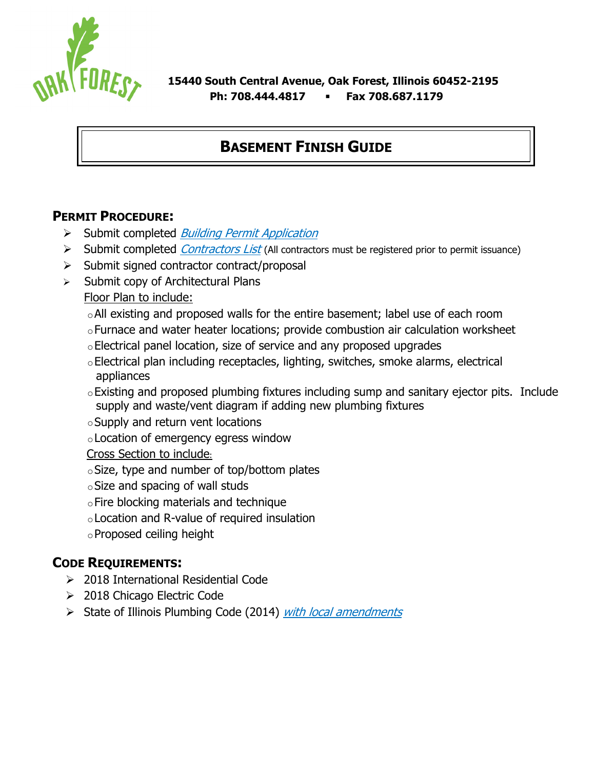

# **BASEMENT FINISH GUIDE**

### **PERMIT PROCEDURE:**

- $\triangleright$  Submit completed *Building Permit Application*
- $\triangleright$  Submit completed *Contractors List* (All contractors must be registered prior to permit issuance)
- $\triangleright$  Submit signed contractor contract/proposal
- $\triangleright$  Submit copy of Architectural Plans

Floor Plan to include:

- oAll existing and proposed walls for the entire basement; label use of each room
- oFurnace and water heater locations; provide combustion air calculation worksheet
- oElectrical panel location, size of service and any proposed upgrades
- oElectrical plan including receptacles, lighting, switches, smoke alarms, electrical appliances
- oExisting and proposed plumbing fixtures including sump and sanitary ejector pits. Include supply and waste/vent diagram if adding new plumbing fixtures
- $\circ$  Supply and return vent locations
- oLocation of emergency egress window

Cross Section to include:

- $\circ$ Size, type and number of top/bottom plates
- $\circ$  Size and spacing of wall studs
- $\circ$  Fire blocking materials and technique
- oLocation and R-value of required insulation
- oProposed ceiling height

# **CODE REQUIREMENTS:**

- 2018 International Residential Code
- 2018 Chicago Electric Code
- $\triangleright$  State of Illinois Plumbing Code (2014) with local amendments